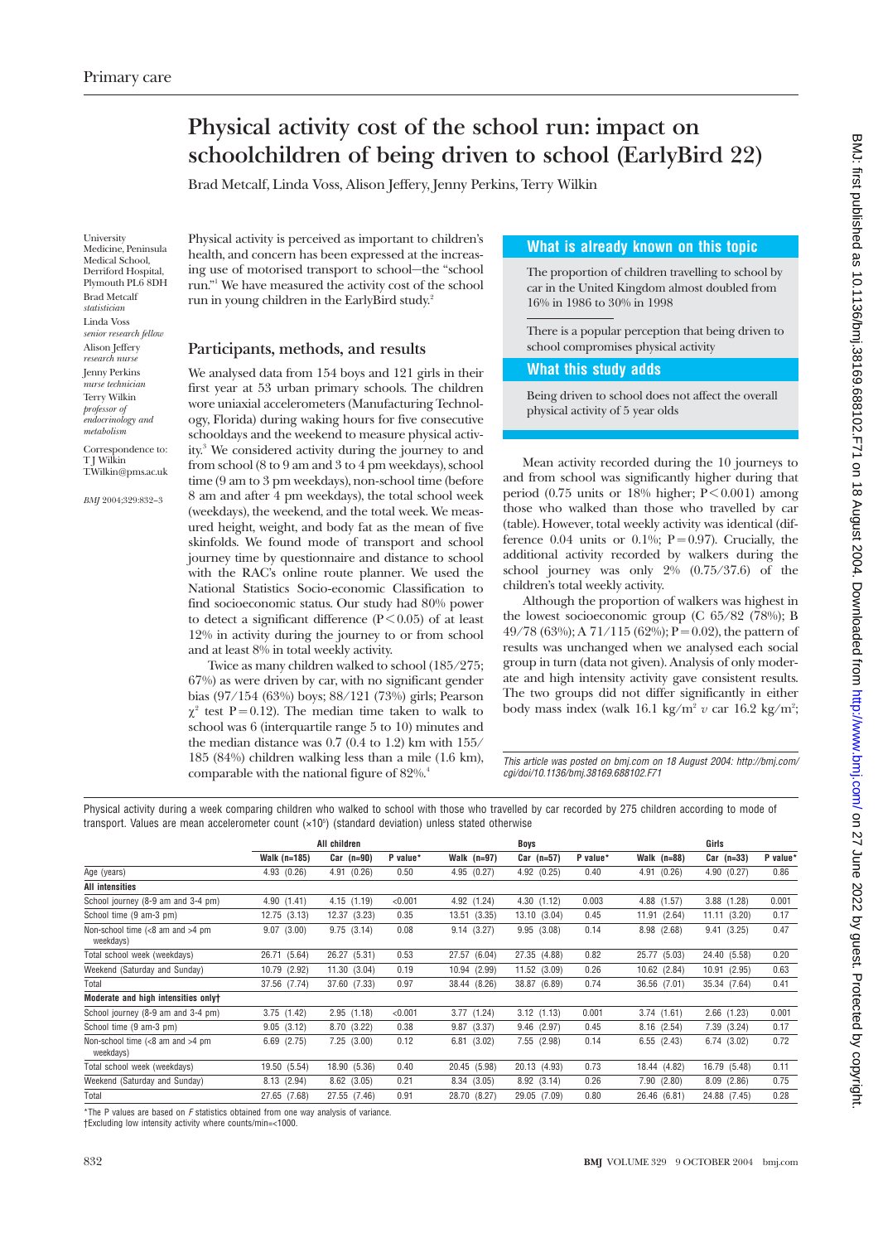# **Physical activity cost of the school run: impact on schoolchildren of being driven to school (EarlyBird 22)**

Brad Metcalf, Linda Voss, Alison Jeffery, Jenny Perkins, Terry Wilkin

University Medicine, Peninsula Medical School, Derriford Hospital, Plymouth PL6 8DH Brad Metcalf *statistician* Linda Voss *senior research fellow* Alison Jeffery *research nurse* Jenny Perkins *nurse technician* Terry Wilkin *professor of endocrinology and metabolism*

Correspondence to: T J Wilkin T.Wilkin@pms.ac.uk

*BMJ* 2004;329:832–3

Physical activity is perceived as important to children's health, and concern has been expressed at the increasing use of motorised transport to school—the "school run."1 We have measured the activity cost of the school run in young children in the EarlyBird study.2

## **Participants, methods, and results**

We analysed data from 154 boys and 121 girls in their first year at 53 urban primary schools. The children wore uniaxial accelerometers (Manufacturing Technology, Florida) during waking hours for five consecutive schooldays and the weekend to measure physical activity.3 We considered activity during the journey to and from school (8 to 9 am and 3 to 4 pm weekdays), school time (9 am to 3 pm weekdays), non-school time (before 8 am and after 4 pm weekdays), the total school week (weekdays), the weekend, and the total week. We measured height, weight, and body fat as the mean of five skinfolds. We found mode of transport and school journey time by questionnaire and distance to school with the RAC's online route planner. We used the National Statistics Socio-economic Classification to find socioeconomic status. Our study had 80% power to detect a significant difference ( $\overrightarrow{P}$  < 0.05) of at least 12% in activity during the journey to or from school and at least 8% in total weekly activity.

Twice as many children walked to school (185/275; 67%) as were driven by car, with no significant gender bias (97/154 (63%) boys; 88/121 (73%) girls; Pearson  $\chi^2$  test P = 0.12). The median time taken to walk to school was 6 (interquartile range 5 to 10) minutes and the median distance was 0.7 (0.4 to 1.2) km with 155/ 185 (84%) children walking less than a mile (1.6 km), comparable with the national figure of  $82\%$ .<sup>4</sup>

## **What is already known on this topic**

The proportion of children travelling to school by car in the United Kingdom almost doubled from 16% in 1986 to 30% in 1998

There is a popular perception that being driven to school compromises physical activity

## **What this study adds**

Being driven to school does not affect the overall physical activity of 5 year olds

Mean activity recorded during the 10 journeys to and from school was significantly higher during that period (0.75 units or  $18\%$  higher; P < 0.001) among those who walked than those who travelled by car (table). However, total weekly activity was identical (difference 0.04 units or 0.1%;  $P = 0.97$ ). Crucially, the additional activity recorded by walkers during the school journey was only 2% (0.75/37.6) of the children's total weekly activity.

Although the proportion of walkers was highest in the lowest socioeconomic group (C 65/82 (78%); B 49/78 (63%); A 71/115 (62%); P = 0.02), the pattern of results was unchanged when we analysed each social group in turn (data not given). Analysis of only moderate and high intensity activity gave consistent results. The two groups did not differ significantly in either body mass index (walk 16.1 kg/m<sup>2</sup> *v* car 16.2 kg/m<sup>2</sup>;

This article was posted on bmj.com on 18 August 2004: http://bmj.com/ cgi/doi/10.1136/bmj.38169.688102.F71

Physical activity during a week comparing children who walked to school with those who travelled by car recorded by 275 children according to mode of transport. Values are mean accelerometer count (×10<sup>5</sup>) (standard deviation) unless stated otherwise

|                                                 | All children    |                 |          | Boys            |                 |          | Girls           |                 |          |
|-------------------------------------------------|-----------------|-----------------|----------|-----------------|-----------------|----------|-----------------|-----------------|----------|
|                                                 | Walk (n=185)    | $Car (n=90)$    | P value* | Walk $(n=97)$   | $Car (n=57)$    | P value* | Walk $(n=88)$   | $Car (n=33)$    | P value* |
| Age (years)                                     | 4.93(0.26)      | 4.91 (0.26)     | 0.50     | 4.95(0.27)      | 4.92(0.25)      | 0.40     | 4.91 (0.26)     | 4.90 (0.27)     | 0.86     |
| All intensities                                 |                 |                 |          |                 |                 |          |                 |                 |          |
| School journey (8-9 am and 3-4 pm)              | 4.90(1.41)      | 4.15(1.19)      | < 0.001  | 4.92 (1.24)     | 4.30(1.12)      | 0.003    | 4.88 (1.57)     | 3.88(1.28)      | 0.001    |
| School time (9 am-3 pm)                         | 12.75(3.13)     | 12.37<br>(3.23) | 0.35     | 13.51<br>(3.35) | 13.10 (3.04)    | 0.45     | 11.91<br>(2.64) | 11.11(3.20)     | 0.17     |
| Non-school time $(8 am and >4 pm)$<br>weekdays) | 9.07<br>(3.00)  | 9.75(3.14)      | 0.08     | 9.14<br>(3.27)  | 9.95(3.08)      | 0.14     | 8.98 (2.68)     | 9.41(3.25)      | 0.47     |
| Total school week (weekdays)                    | (5.64)<br>26.71 | 26.27 (5.31)    | 0.53     | (6.04)<br>27.57 | 27.35 (4.88)    | 0.82     | 25.77<br>(5.03) | 24.40 (5.58)    | 0.20     |
| Weekend (Saturday and Sunday)                   | 10.79 (2.92)    | 11.30(3.04)     | 0.19     | 10.94 (2.99)    | 11.52 (3.09)    | 0.26     | 10.62 (2.84)    | 10.91(2.95)     | 0.63     |
| Total                                           | 37.56 (7.74)    | 37.60 (7.33)    | 0.97     | 38.44 (8.26)    | 38.87 (6.89)    | 0.74     | 36.56 (7.01)    | 35.34 (7.64)    | 0.41     |
| Moderate and high intensities onlyt             |                 |                 |          |                 |                 |          |                 |                 |          |
| School journey (8-9 am and 3-4 pm)              | 3.75(1.42)      | 2.95(1.18)      | < 0.001  | 3.77(1.24)      | 3.12(1.13)      | 0.001    | 3.74(1.61)      | $2.66$ $(1.23)$ | 0.001    |
| School time (9 am-3 pm)                         | 9.05(3.12)      | 8.70 (3.22)     | 0.38     | $9.87$ $(3.37)$ | $9.46$ $(2.97)$ | 0.45     | 8.16(2.54)      | 7.39 (3.24)     | 0.17     |
| Non-school time $(8 am and >4 pm)$<br>weekdays) | $6.69$ $(2.75)$ | 7.25(3.00)      | 0.12     | 6.81<br>(3.02)  | 7.55 (2.98)     | 0.14     | 6.55(2.43)      | 6.74(3.02)      | 0.72     |
| Total school week (weekdays)                    | 19.50 (5.54)    | 18.90 (5.36)    | 0.40     | 20.45 (5.98)    | 20.13 (4.93)    | 0.73     | 18.44 (4.82)    | 16.79 (5.48)    | 0.11     |
| Weekend (Saturday and Sunday)                   | 8.13(2.94)      | $8.62$ $(3.05)$ | 0.21     | 8.34 (3.05)     | 8.92(3.14)      | 0.26     | 7.90(2.80)      | 8.09(2.86)      | 0.75     |
| Total                                           | 27.65 (7.68)    | 27.55 (7.46)    | 0.91     | 28.70 (8.27)    | 29.05 (7.09)    | 0.80     | 26.46 (6.81)    | 24.88 (7.45)    | 0.28     |
|                                                 |                 |                 |          |                 |                 |          |                 |                 |          |

 $*$ The P values are based on  $F$  statistics obtained from one way analysis of variance.

†Excluding low intensity activity where counts/min=<1000.